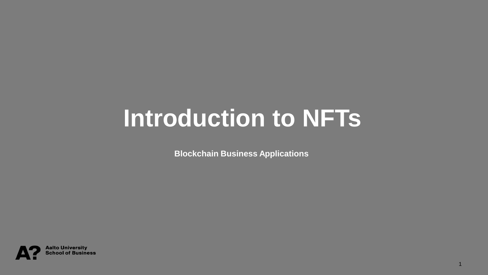### **Introduction to NFTs**

**Blockchain Business Applications**

1

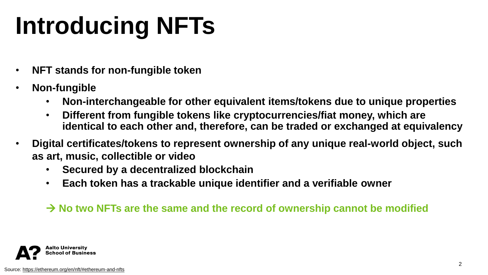# **Introducing NFTs**

- **NFT stands for non-fungible token**
- **Non-fungible** 
	- **Non-interchangeable for other equivalent items/tokens due to unique properties**
	- **Different from fungible tokens like cryptocurrencies/fiat money, which are identical to each other and, therefore, can be traded or exchanged at equivalency**
- **Digital certificates/tokens to represent ownership of any unique real-world object, such as art, music, collectible or video**
	- **Secured by a decentralized blockchain**
	- **Each token has a trackable unique identifier and a verifiable owner**

#### → **No two NFTs are the same and the record of ownership cannot be modified**

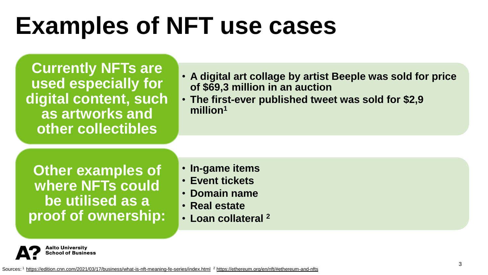# **Examples of NFT use cases**

**Currently NFTs are used especially for digital content, such as artworks and other collectibles**

• **A digital art collage by artist Beeple was sold for price of \$69,3 million in an auction** 

• **The first-ever published tweet was sold for \$2,9 million<sup>1</sup>**

**Other examples of where NFTs could be utilised as a proof of ownership:**

- **In-game items**
- **Event tickets**
- **Domain name**
- **Real estate**
- **Loan collateral <sup>2</sup>**

**Aalto University** School of Business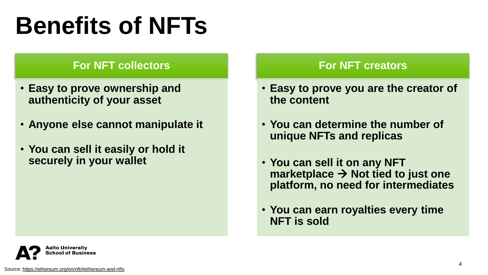# **Benefits of NFTs**

#### **For NFT collectors**

- **Easy to prove ownership and authenticity of your asset**
- **Anyone else cannot manipulate it**
- **You can sell it easily or hold it securely in your wallet**

#### **For NFT creators**

- **Easy to prove you are the creator of the content**
- **You can determine the number of unique NFTs and replicas**
- **You can sell it on any NFT marketplace** → **Not tied to just one platform, no need for intermediates**
- **You can earn royalties every time NFT is sold**

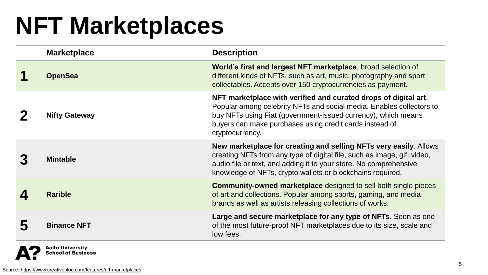### **NFT Marketplaces**

| <b>Marketplace</b>   | <b>Description</b>                                                                                                                                                                                                                                                                     |
|----------------------|----------------------------------------------------------------------------------------------------------------------------------------------------------------------------------------------------------------------------------------------------------------------------------------|
| <b>OpenSea</b>       | World's first and largest NFT marketplace, broad selection of<br>different kinds of NFTs, such as art, music, photography and sport<br>collectables. Accepts over 150 cryptocurrencies as payment.                                                                                     |
| <b>Nifty Gateway</b> | NFT marketplace with verified and curated drops of digital art.<br>Popular among celebrity NFTs and social media. Enables collectors to<br>buy NFTs using Fiat (government-issued currency), which means<br>buyers can make purchases using credit cards instead of<br>cryptocurrency. |
| <b>Mintable</b>      | New marketplace for creating and selling NFTs very easily. Allows<br>creating NFTs from any type of digital file, such as image, gif, video,<br>audio file or text, and adding it to your store. No comprehensive<br>knowledge of NFTs, crypto wallets or blockchains required.        |
| <b>Rarible</b>       | <b>Community-owned marketplace</b> designed to sell both single pieces<br>of art and collections. Popular among sports, gaming, and media<br>brands as well as artists releasing collections of works.                                                                                 |
| <b>Binance NFT</b>   | Large and secure marketplace for any type of NFTs. Seen as one<br>of the most future-proof NFT marketplaces due to its size, scale and<br>low fees.                                                                                                                                    |

**Aalto University School of Business**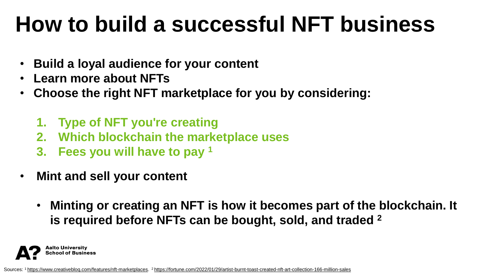### **How to build a successful NFT business**

- **Build a loyal audience for your content**
- **Learn more about NFTs**
- **Choose the right NFT marketplace for you by considering:**
	- **1. Type of NFT you're creating**
	- **2. Which blockchain the marketplace uses**
	- **3. Fees you will have to pay <sup>1</sup>**
- **Mint and sell your content** 
	- **Minting or creating an NFT is how it becomes part of the blockchain. It is required before NFTs can be bought, sold, and traded <sup>2</sup>**



Sources: 1 [https://www.creativebloq.com/features/nft-marketplaces.](https://www.creativebloq.com/features/nft-marketplaces) <sup>2</sup> [https://fortune.com/2022/01/29/artist-burnt-toast-created-nft-art-collection-166-million-sales](https://fortune.com/2022/01/29/artist-burnt-toast-created-nft-art-collection-166-million-sales/)